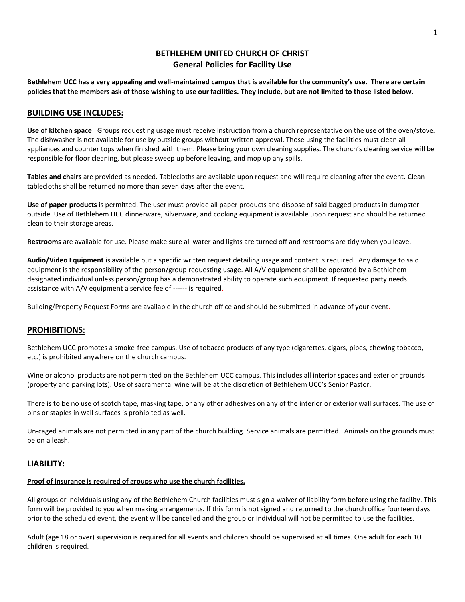# **BETHLEHEM UNITED CHURCH OF CHRIST General Policies for Facility Use**

**Bethlehem UCC has a very appealing and well-maintained campus that is available for the community's use. There are certain policies that the members ask of those wishing to use our facilities. They include, but are not limited to those listed below.**

#### **BUILDING USE INCLUDES:**

**Use of kitchen space**: Groups requesting usage must receive instruction from a church representative on the use of the oven/stove. The dishwasher is not available for use by outside groups without written approval. Those using the facilities must clean all appliances and counter tops when finished with them. Please bring your own cleaning supplies. The church's cleaning service will be responsible for floor cleaning, but please sweep up before leaving, and mop up any spills.

**Tables and chairs** are provided as needed. Tablecloths are available upon request and will require cleaning after the event. Clean tablecloths shall be returned no more than seven days after the event.

**Use of paper products** is permitted. The user must provide all paper products and dispose of said bagged products in dumpster outside. Use of Bethlehem UCC dinnerware, silverware, and cooking equipment is available upon request and should be returned clean to their storage areas.

**Restrooms** are available for use. Please make sure all water and lights are turned off and restrooms are tidy when you leave.

**Audio/Video Equipment** is available but a specific written request detailing usage and content is required. Any damage to said equipment is the responsibility of the person/group requesting usage. All A/V equipment shall be operated by a Bethlehem designated individual unless person/group has a demonstrated ability to operate such equipment. If requested party needs assistance with A/V equipment a service fee of ------ is required.

Building/Property Request Forms are available in the church office and should be submitted in advance of your event.

#### **PROHIBITIONS:**

Bethlehem UCC promotes a smoke-free campus. Use of tobacco products of any type (cigarettes, cigars, pipes, chewing tobacco, etc.) is prohibited anywhere on the church campus.

Wine or alcohol products are not permitted on the Bethlehem UCC campus. This includes all interior spaces and exterior grounds (property and parking lots). Use of sacramental wine will be at the discretion of Bethlehem UCC's Senior Pastor.

There is to be no use of scotch tape, masking tape, or any other adhesives on any of the interior or exterior wall surfaces. The use of pins or staples in wall surfaces is prohibited as well.

Un-caged animals are not permitted in any part of the church building. Service animals are permitted. Animals on the grounds must be on a leash.

#### **LIABILITY:**

## **Proof of insurance is required of groups who use the church facilities.**

All groups or individuals using any of the Bethlehem Church facilities must sign a waiver of liability form before using the facility. This form will be provided to you when making arrangements. If this form is not signed and returned to the church office fourteen days prior to the scheduled event, the event will be cancelled and the group or individual will not be permitted to use the facilities.

Adult (age 18 or over) supervision is required for all events and children should be supervised at all times. One adult for each 10 children is required.